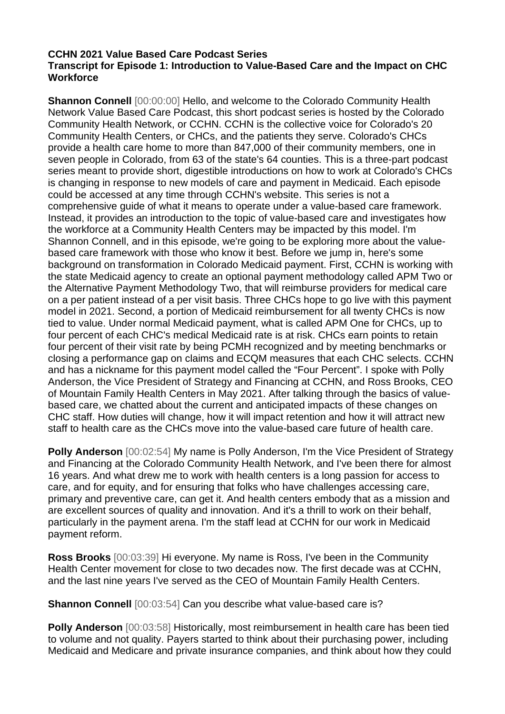## **CCHN 2021 Value Based Care Podcast Series Transcript for Episode 1: Introduction to Value-Based Care and the Impact on CHC Workforce**

**Shannon Connell** [00:00:00] Hello, and welcome to the Colorado Community Health Network Value Based Care Podcast, this short podcast series is hosted by the Colorado Community Health Network, or CCHN. CCHN is the collective voice for Colorado's 20 Community Health Centers, or CHCs, and the patients they serve. Colorado's CHCs provide a health care home to more than 847,000 of their community members, one in seven people in Colorado, from 63 of the state's 64 counties. This is a three-part podcast series meant to provide short, digestible introductions on how to work at Colorado's CHCs is changing in response to new models of care and payment in Medicaid. Each episode could be accessed at any time through CCHN's website. This series is not a comprehensive guide of what it means to operate under a value-based care framework. Instead, it provides an introduction to the topic of value-based care and investigates how the workforce at a Community Health Centers may be impacted by this model. I'm Shannon Connell, and in this episode, we're going to be exploring more about the valuebased care framework with those who know it best. Before we jump in, here's some background on transformation in Colorado Medicaid payment. First, CCHN is working with the state Medicaid agency to create an optional payment methodology called APM Two or the Alternative Payment Methodology Two, that will reimburse providers for medical care on a per patient instead of a per visit basis. Three CHCs hope to go live with this payment model in 2021. Second, a portion of Medicaid reimbursement for all twenty CHCs is now tied to value. Under normal Medicaid payment, what is called APM One for CHCs, up to four percent of each CHC's medical Medicaid rate is at risk. CHCs earn points to retain four percent of their visit rate by being PCMH recognized and by meeting benchmarks or closing a performance gap on claims and ECQM measures that each CHC selects. CCHN and has a nickname for this payment model called the "Four Percent". I spoke with Polly Anderson, the Vice President of Strategy and Financing at CCHN, and Ross Brooks, CEO of Mountain Family Health Centers in May 2021. After talking through the basics of valuebased care, we chatted about the current and anticipated impacts of these changes on CHC staff. How duties will change, how it will impact retention and how it will attract new staff to health care as the CHCs move into the value-based care future of health care.

**Polly Anderson** [00:02:54] My name is Polly Anderson, I'm the Vice President of Strategy and Financing at the Colorado Community Health Network, and I've been there for almost 16 years. And what drew me to work with health centers is a long passion for access to care, and for equity, and for ensuring that folks who have challenges accessing care, primary and preventive care, can get it. And health centers embody that as a mission and are excellent sources of quality and innovation. And it's a thrill to work on their behalf, particularly in the payment arena. I'm the staff lead at CCHN for our work in Medicaid payment reform.

**Ross Brooks** [00:03:39] Hi everyone. My name is Ross, I've been in the Community Health Center movement for close to two decades now. The first decade was at CCHN, and the last nine years I've served as the CEO of Mountain Family Health Centers.

**Shannon Connell** [00:03:54] Can you describe what value-based care is?

**Polly Anderson** [00:03:58] Historically, most reimbursement in health care has been tied to volume and not quality. Payers started to think about their purchasing power, including Medicaid and Medicare and private insurance companies, and think about how they could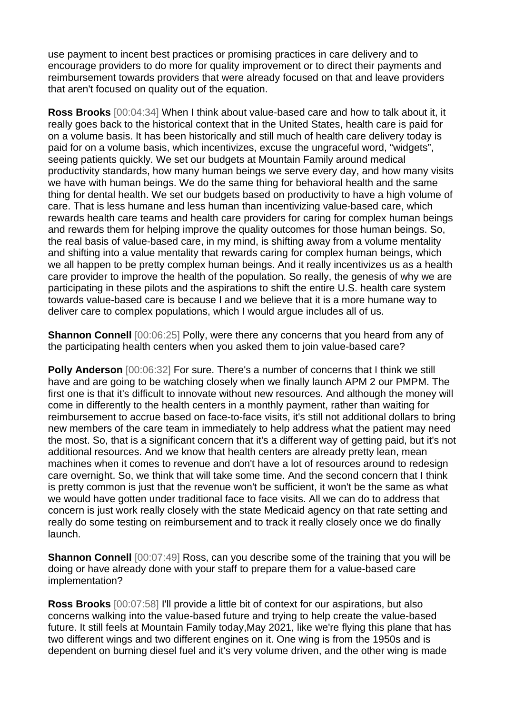use payment to incent best practices or promising practices in care delivery and to encourage providers to do more for quality improvement or to direct their payments and reimbursement towards providers that were already focused on that and leave providers that aren't focused on quality out of the equation.

**Ross Brooks** [00:04:34] When I think about value-based care and how to talk about it, it really goes back to the historical context that in the United States, health care is paid for on a volume basis. It has been historically and still much of health care delivery today is paid for on a volume basis, which incentivizes, excuse the ungraceful word, "widgets", seeing patients quickly. We set our budgets at Mountain Family around medical productivity standards, how many human beings we serve every day, and how many visits we have with human beings. We do the same thing for behavioral health and the same thing for dental health. We set our budgets based on productivity to have a high volume of care. That is less humane and less human than incentivizing value-based care, which rewards health care teams and health care providers for caring for complex human beings and rewards them for helping improve the quality outcomes for those human beings. So, the real basis of value-based care, in my mind, is shifting away from a volume mentality and shifting into a value mentality that rewards caring for complex human beings, which we all happen to be pretty complex human beings. And it really incentivizes us as a health care provider to improve the health of the population. So really, the genesis of why we are participating in these pilots and the aspirations to shift the entire U.S. health care system towards value-based care is because I and we believe that it is a more humane way to deliver care to complex populations, which I would argue includes all of us.

**Shannon Connell** [00:06:25] Polly, were there any concerns that you heard from any of the participating health centers when you asked them to join value-based care?

**Polly Anderson** [00:06:32] For sure. There's a number of concerns that I think we still have and are going to be watching closely when we finally launch APM 2 our PMPM. The first one is that it's difficult to innovate without new resources. And although the money will come in differently to the health centers in a monthly payment, rather than waiting for reimbursement to accrue based on face-to-face visits, it's still not additional dollars to bring new members of the care team in immediately to help address what the patient may need the most. So, that is a significant concern that it's a different way of getting paid, but it's not additional resources. And we know that health centers are already pretty lean, mean machines when it comes to revenue and don't have a lot of resources around to redesign care overnight. So, we think that will take some time. And the second concern that I think is pretty common is just that the revenue won't be sufficient, it won't be the same as what we would have gotten under traditional face to face visits. All we can do to address that concern is just work really closely with the state Medicaid agency on that rate setting and really do some testing on reimbursement and to track it really closely once we do finally launch.

**Shannon Connell** [00:07:49] Ross, can you describe some of the training that you will be doing or have already done with your staff to prepare them for a value-based care implementation?

**Ross Brooks** [00:07:58] I'll provide a little bit of context for our aspirations, but also concerns walking into the value-based future and trying to help create the value-based future. It still feels at Mountain Family today,May 2021, like we're flying this plane that has two different wings and two different engines on it. One wing is from the 1950s and is dependent on burning diesel fuel and it's very volume driven, and the other wing is made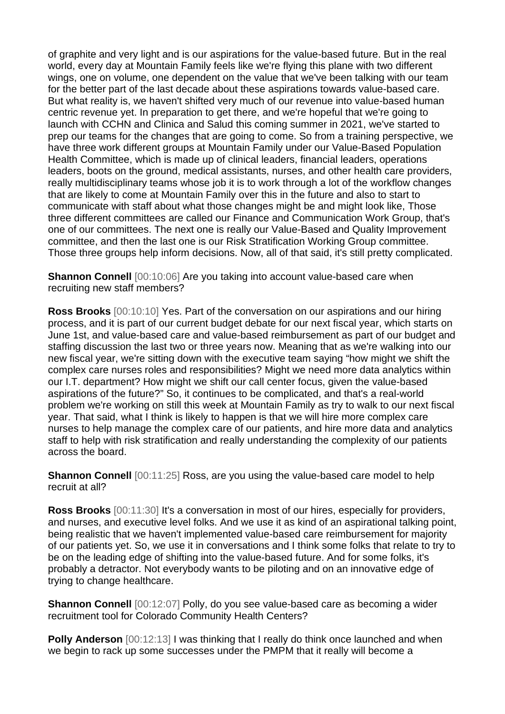of graphite and very light and is our aspirations for the value-based future. But in the real world, every day at Mountain Family feels like we're flying this plane with two different wings, one on volume, one dependent on the value that we've been talking with our team for the better part of the last decade about these aspirations towards value-based care. But what reality is, we haven't shifted very much of our revenue into value-based human centric revenue yet. In preparation to get there, and we're hopeful that we're going to launch with CCHN and Clinica and Salud this coming summer in 2021, we've started to prep our teams for the changes that are going to come. So from a training perspective, we have three work different groups at Mountain Family under our Value-Based Population Health Committee, which is made up of clinical leaders, financial leaders, operations leaders, boots on the ground, medical assistants, nurses, and other health care providers, really multidisciplinary teams whose job it is to work through a lot of the workflow changes that are likely to come at Mountain Family over this in the future and also to start to communicate with staff about what those changes might be and might look like, Those three different committees are called our Finance and Communication Work Group, that's one of our committees. The next one is really our Value-Based and Quality Improvement committee, and then the last one is our Risk Stratification Working Group committee. Those three groups help inform decisions. Now, all of that said, it's still pretty complicated.

**Shannon Connell** [00:10:06] Are you taking into account value-based care when recruiting new staff members?

**Ross Brooks** [00:10:10] Yes. Part of the conversation on our aspirations and our hiring process, and it is part of our current budget debate for our next fiscal year, which starts on June 1st, and value-based care and value-based reimbursement as part of our budget and staffing discussion the last two or three years now. Meaning that as we're walking into our new fiscal year, we're sitting down with the executive team saying "how might we shift the complex care nurses roles and responsibilities? Might we need more data analytics within our I.T. department? How might we shift our call center focus, given the value-based aspirations of the future?" So, it continues to be complicated, and that's a real-world problem we're working on still this week at Mountain Family as try to walk to our next fiscal year. That said, what I think is likely to happen is that we will hire more complex care nurses to help manage the complex care of our patients, and hire more data and analytics staff to help with risk stratification and really understanding the complexity of our patients across the board.

**Shannon Connell** [00:11:25] Ross, are you using the value-based care model to help recruit at all?

**Ross Brooks** [00:11:30] It's a conversation in most of our hires, especially for providers, and nurses, and executive level folks. And we use it as kind of an aspirational talking point, being realistic that we haven't implemented value-based care reimbursement for majority of our patients yet. So, we use it in conversations and I think some folks that relate to try to be on the leading edge of shifting into the value-based future. And for some folks, it's probably a detractor. Not everybody wants to be piloting and on an innovative edge of trying to change healthcare.

**Shannon Connell** [00:12:07] Polly, do you see value-based care as becoming a wider recruitment tool for Colorado Community Health Centers?

**Polly Anderson** [00:12:13] I was thinking that I really do think once launched and when we begin to rack up some successes under the PMPM that it really will become a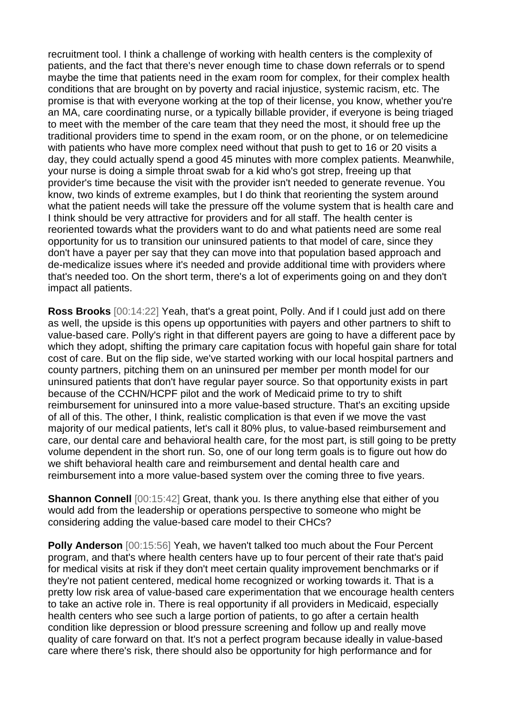recruitment tool. I think a challenge of working with health centers is the complexity of patients, and the fact that there's never enough time to chase down referrals or to spend maybe the time that patients need in the exam room for complex, for their complex health conditions that are brought on by poverty and racial injustice, systemic racism, etc. The promise is that with everyone working at the top of their license, you know, whether you're an MA, care coordinating nurse, or a typically billable provider, if everyone is being triaged to meet with the member of the care team that they need the most, it should free up the traditional providers time to spend in the exam room, or on the phone, or on telemedicine with patients who have more complex need without that push to get to 16 or 20 visits a day, they could actually spend a good 45 minutes with more complex patients. Meanwhile, your nurse is doing a simple throat swab for a kid who's got strep, freeing up that provider's time because the visit with the provider isn't needed to generate revenue. You know, two kinds of extreme examples, but I do think that reorienting the system around what the patient needs will take the pressure off the volume system that is health care and I think should be very attractive for providers and for all staff. The health center is reoriented towards what the providers want to do and what patients need are some real opportunity for us to transition our uninsured patients to that model of care, since they don't have a payer per say that they can move into that population based approach and de-medicalize issues where it's needed and provide additional time with providers where that's needed too. On the short term, there's a lot of experiments going on and they don't impact all patients.

**Ross Brooks** [00:14:22] Yeah, that's a great point, Polly. And if I could just add on there as well, the upside is this opens up opportunities with payers and other partners to shift to value-based care. Polly's right in that different payers are going to have a different pace by which they adopt, shifting the primary care capitation focus with hopeful gain share for total cost of care. But on the flip side, we've started working with our local hospital partners and county partners, pitching them on an uninsured per member per month model for our uninsured patients that don't have regular payer source. So that opportunity exists in part because of the CCHN/HCPF pilot and the work of Medicaid prime to try to shift reimbursement for uninsured into a more value-based structure. That's an exciting upside of all of this. The other, I think, realistic complication is that even if we move the vast majority of our medical patients, let's call it 80% plus, to value-based reimbursement and care, our dental care and behavioral health care, for the most part, is still going to be pretty volume dependent in the short run. So, one of our long term goals is to figure out how do we shift behavioral health care and reimbursement and dental health care and reimbursement into a more value-based system over the coming three to five years.

**Shannon Connell** [00:15:42] Great, thank you. Is there anything else that either of you would add from the leadership or operations perspective to someone who might be considering adding the value-based care model to their CHCs?

**Polly Anderson** [00:15:56] Yeah, we haven't talked too much about the Four Percent program, and that's where health centers have up to four percent of their rate that's paid for medical visits at risk if they don't meet certain quality improvement benchmarks or if they're not patient centered, medical home recognized or working towards it. That is a pretty low risk area of value-based care experimentation that we encourage health centers to take an active role in. There is real opportunity if all providers in Medicaid, especially health centers who see such a large portion of patients, to go after a certain health condition like depression or blood pressure screening and follow up and really move quality of care forward on that. It's not a perfect program because ideally in value-based care where there's risk, there should also be opportunity for high performance and for